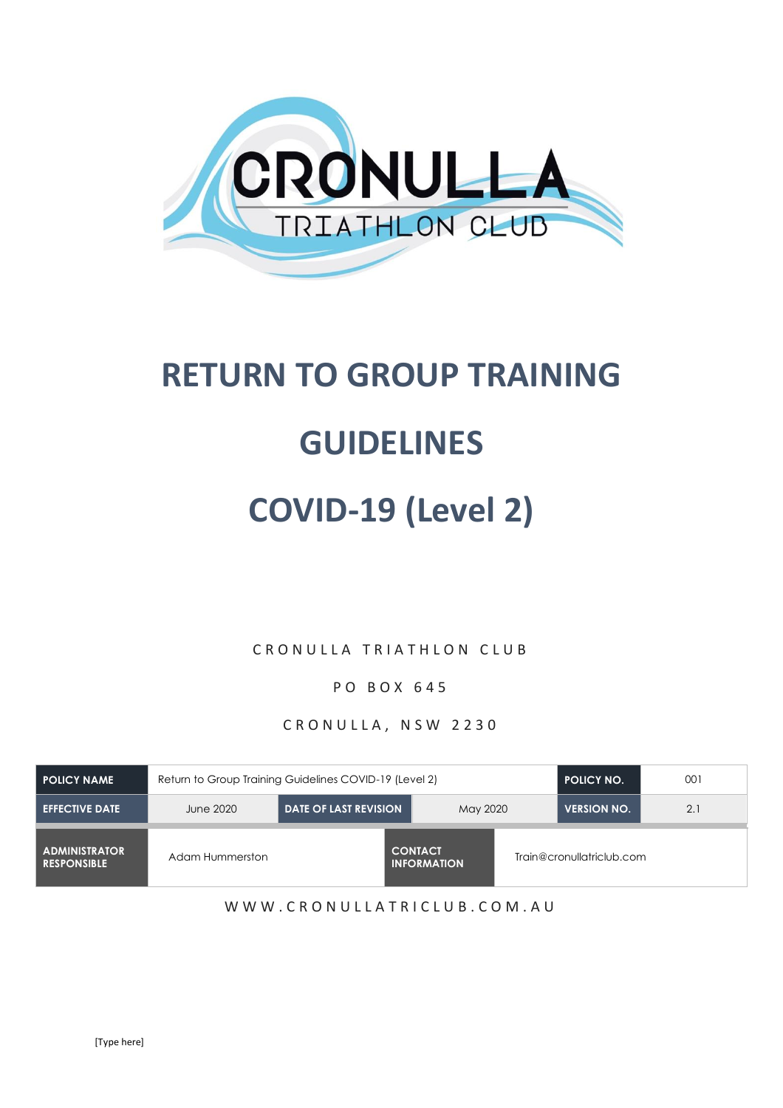

# **RETURN TO GROUP TRAINING**

## **GUIDELINES**

# **COVID-19 (Level 2)**

C R O N U L L A T R I A T H L O N C L U B

P O B O X 6 4 5

CRONULLA, NSW 2230

| I POLICY NAME                              | Return to Group Training Guidelines COVID-19 (Level 2) | <b>POLICY NO.</b>            | 001                                  |  |                           |     |
|--------------------------------------------|--------------------------------------------------------|------------------------------|--------------------------------------|--|---------------------------|-----|
| <b>EFFECTIVE DATE</b>                      | June 2020                                              | <b>DATE OF LAST REVISION</b> | May 2020                             |  | <b>VERSION NO.</b>        | 2.1 |
| <b>ADMINISTRATOR</b><br><b>RESPONSIBLE</b> | Adam Hummerston                                        |                              | <b>CONTACT</b><br><b>INFORMATION</b> |  | Train@cronullatriclub.com |     |

W W W . C R O N U L L A T R I C L U B . C O M . A U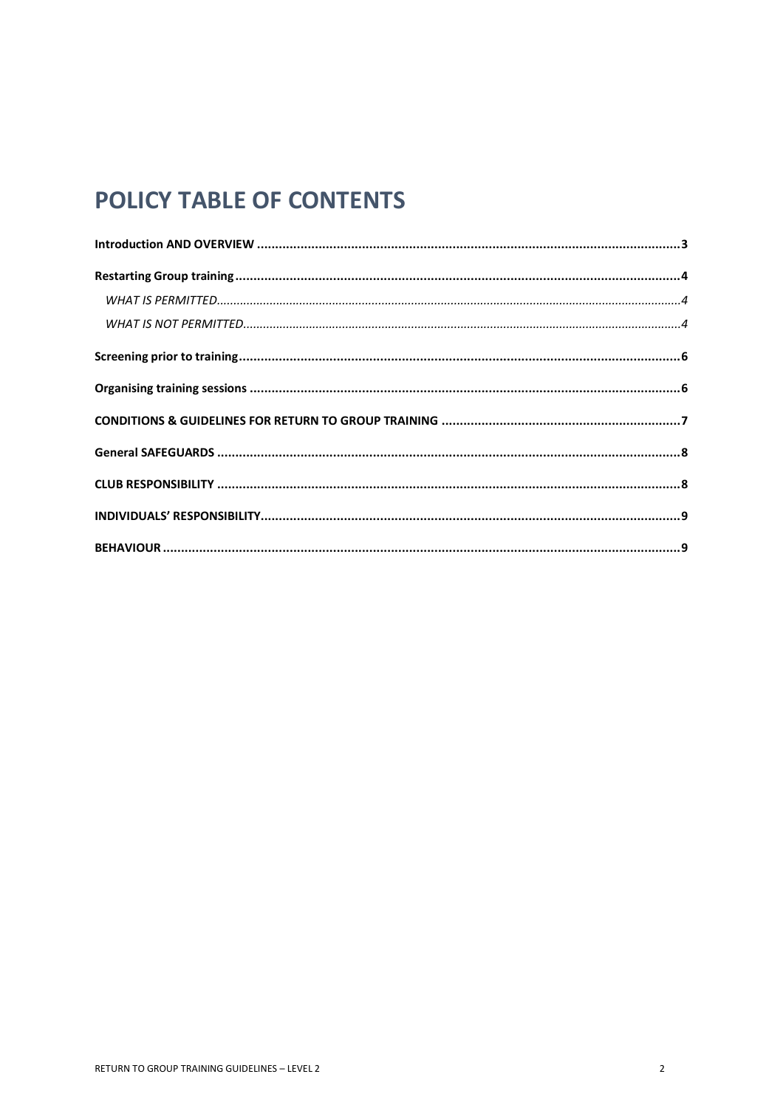## POLICY TABLE OF CONTENTS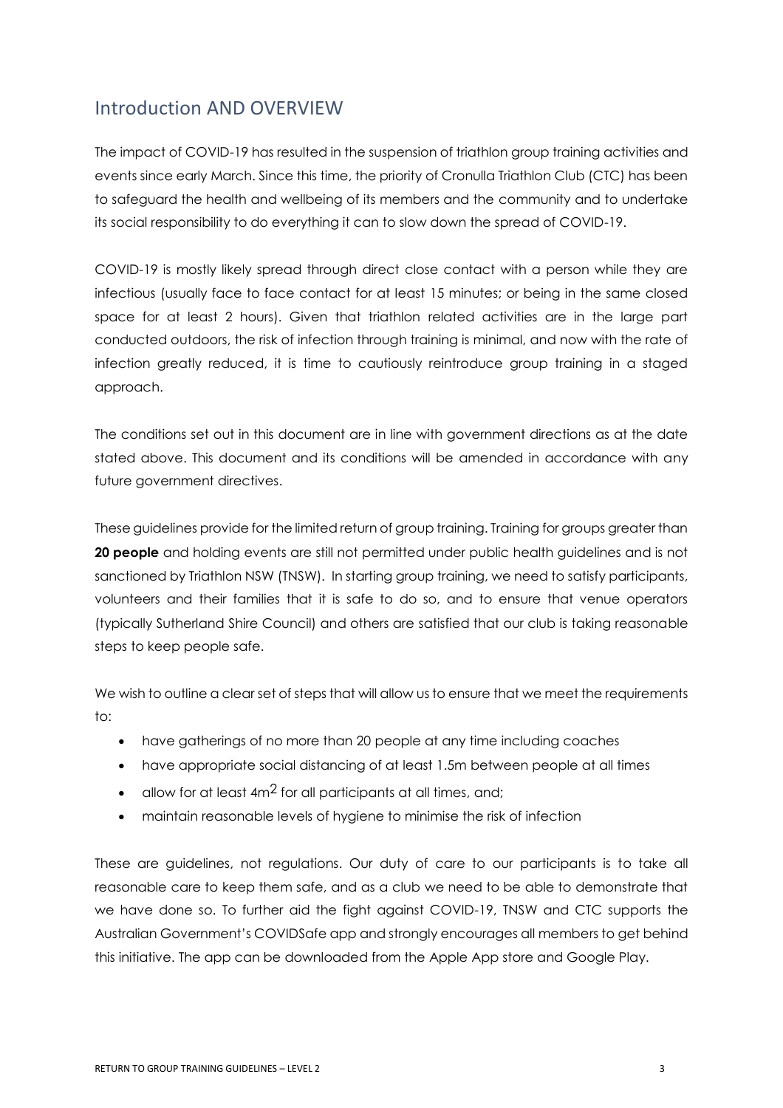### <span id="page-2-0"></span>Introduction AND OVERVIEW

The impact of COVID-19 has resulted in the suspension of triathlon group training activities and events since early March. Since this time, the priority of Cronulla Triathlon Club (CTC) has been to safeguard the health and wellbeing of its members and the community and to undertake its social responsibility to do everything it can to slow down the spread of COVID-19.

COVID-19 is mostly likely spread through direct close contact with a person while they are infectious (usually face to face contact for at least 15 minutes; or being in the same closed space for at least 2 hours). Given that triathlon related activities are in the large part conducted outdoors, the risk of infection through training is minimal, and now with the rate of infection greatly reduced, it is time to cautiously reintroduce group training in a staged approach.

The conditions set out in this document are in line with government directions as at the date stated above. This document and its conditions will be amended in accordance with any future government directives.

These guidelines provide for the limited return of group training. Training for groups greater than **20 people** and holding events are still not permitted under public health guidelines and is not sanctioned by Triathlon NSW (TNSW). In starting group training, we need to satisfy participants, volunteers and their families that it is safe to do so, and to ensure that venue operators (typically Sutherland Shire Council) and others are satisfied that our club is taking reasonable steps to keep people safe.

We wish to outline a clear set of steps that will allow us to ensure that we meet the requirements to:

- have gatherings of no more than 20 people at any time including coaches
- have appropriate social distancing of at least 1.5m between people at all times
- allow for at least  $4m^2$  for all participants at all times, and;
- maintain reasonable levels of hygiene to minimise the risk of infection

These are guidelines, not regulations. Our duty of care to our participants is to take all reasonable care to keep them safe, and as a club we need to be able to demonstrate that we have done so. To further aid the fight against COVID-19, TNSW and CTC supports the Australian Government's COVIDSafe app and strongly encourages all members to get behind this initiative. The app can be downloaded from the Apple App store and Google Play.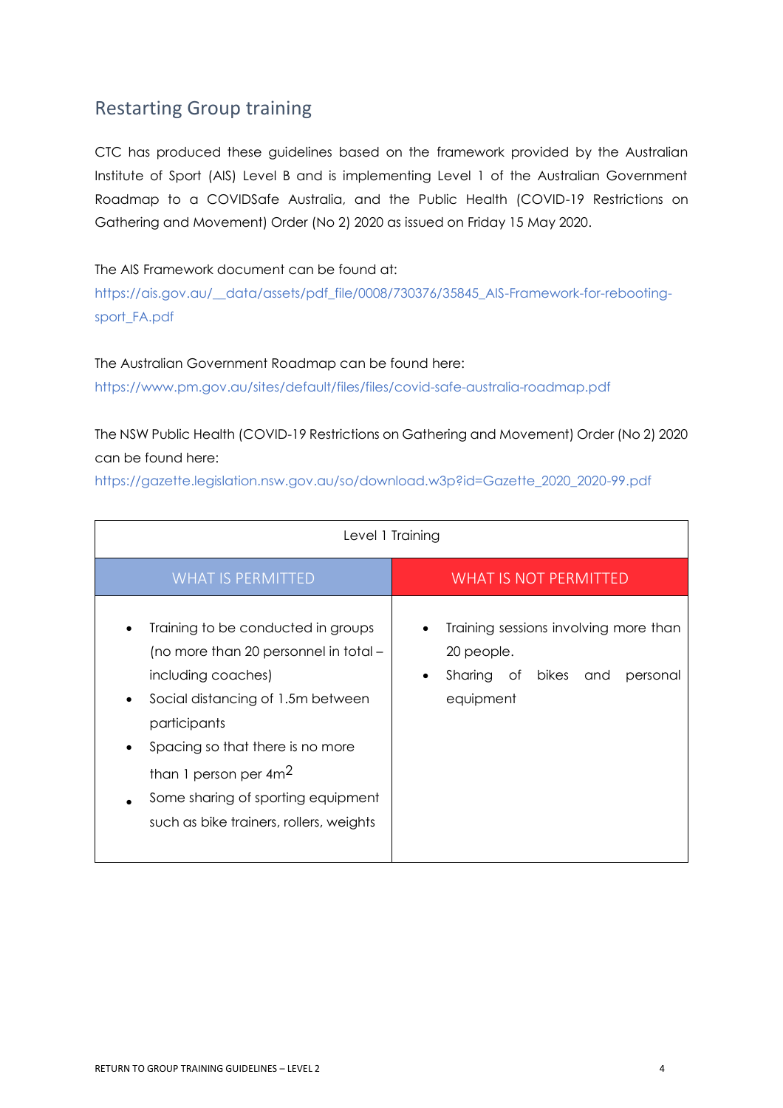### <span id="page-3-0"></span>Restarting Group training

CTC has produced these guidelines based on the framework provided by the Australian Institute of Sport (AIS) Level B and is implementing Level 1 of the Australian Government Roadmap to a COVIDSafe Australia, and the Public Health (COVID-19 Restrictions on Gathering and Movement) Order (No 2) 2020 as issued on Friday 15 May 2020.

#### The AIS Framework document can be found at:

[https://ais.gov.au/\\_\\_data/assets/pdf\\_file/0008/730376/35845\\_AIS-Framework-for-rebooting](https://ais.gov.au/__data/assets/pdf_file/0008/730376/35845_AIS-Framework-for-rebooting-sport_FA.pdf)[sport\\_FA.pdf](https://ais.gov.au/__data/assets/pdf_file/0008/730376/35845_AIS-Framework-for-rebooting-sport_FA.pdf)

#### The Australian Government Roadmap can be found here:

<https://www.pm.gov.au/sites/default/files/files/covid-safe-australia-roadmap.pdf>

The NSW Public Health (COVID-19 Restrictions on Gathering and Movement) Order (No 2) 2020 can be found here:

[https://gazette.legislation.nsw.gov.au/so/download.w3p?id=Gazette\\_2020\\_2020-99.pdf](https://gazette.legislation.nsw.gov.au/so/download.w3p?id=Gazette_2020_2020-99.pdf)

<span id="page-3-2"></span><span id="page-3-1"></span>

| Level 1 Training                                                                                                                                                                                                                                                                                        |                                                                                                                         |  |  |  |  |
|---------------------------------------------------------------------------------------------------------------------------------------------------------------------------------------------------------------------------------------------------------------------------------------------------------|-------------------------------------------------------------------------------------------------------------------------|--|--|--|--|
| <b>WHAT IS PERMITTED</b>                                                                                                                                                                                                                                                                                | <b>WHAT IS NOT PERMITTED</b>                                                                                            |  |  |  |  |
| Training to be conducted in groups<br>(no more than 20 personnel in total –<br>including coaches)<br>Social distancing of 1.5m between<br>participants<br>Spacing so that there is no more<br>than 1 person per $4m^2$<br>Some sharing of sporting equipment<br>such as bike trainers, rollers, weights | Training sessions involving more than<br>20 people.<br>Sharing of<br>bikes<br>and<br>personal<br>$\bullet$<br>equipment |  |  |  |  |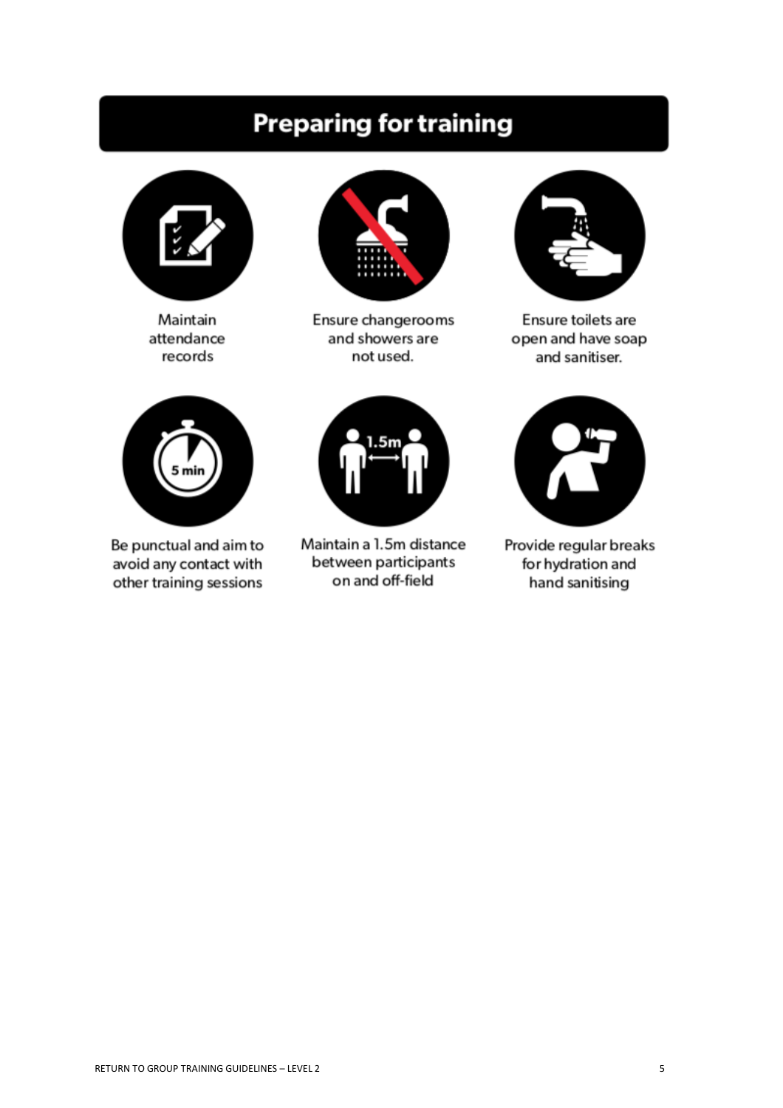## **Preparing for training**



Maintain attendance records



Ensure changerooms and showers are not used.



Ensure toilets are open and have soap and sanitiser.



Be punctual and aim to avoid any contact with other training sessions



Maintain a 1.5m distance between participants on and off-field



Provide regular breaks for hydration and hand sanitising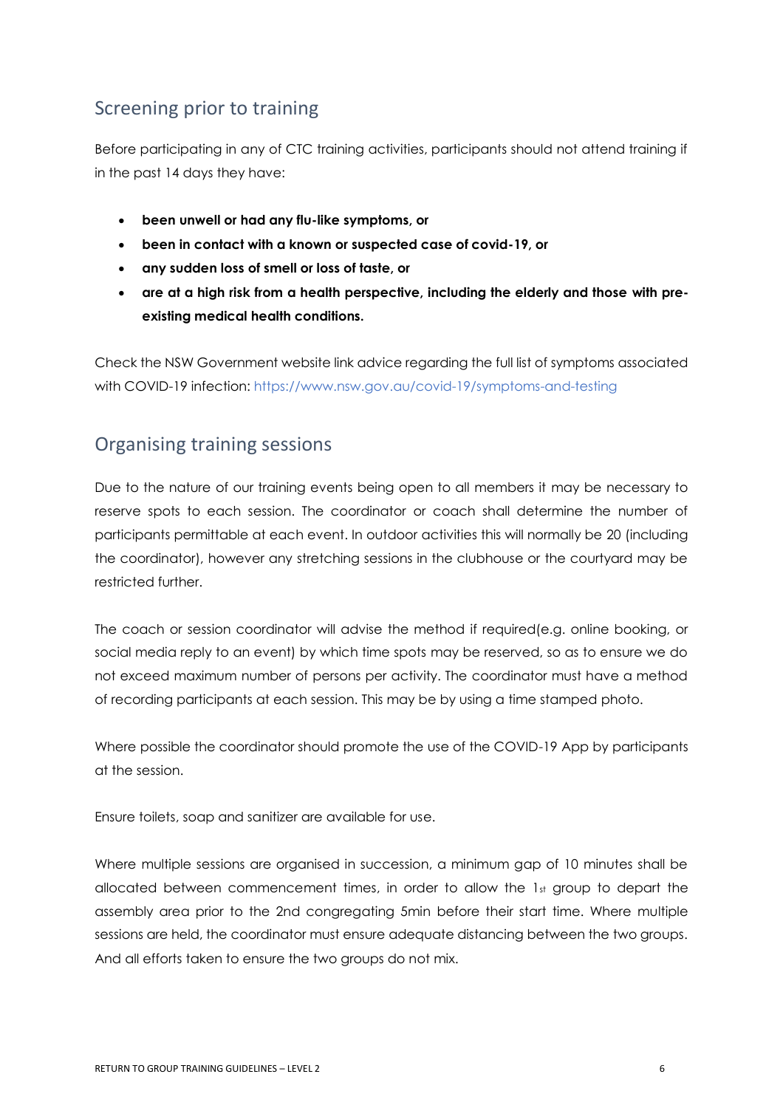### <span id="page-5-0"></span>Screening prior to training

Before participating in any of CTC training activities, participants should not attend training if in the past 14 days they have:

- **been unwell or had any flu-like symptoms, or**
- **been in contact with a known or suspected case of covid-19, or**
- **any sudden loss of smell or loss of taste, or**
- **are at a high risk from a health perspective, including the elderly and those with preexisting medical health conditions.**

Check the NSW Government website link advice regarding the full list of symptoms associated with COVID-19 infection:<https://www.nsw.gov.au/covid-19/symptoms-and-testing>

### <span id="page-5-1"></span>Organising training sessions

Due to the nature of our training events being open to all members it may be necessary to reserve spots to each session. The coordinator or coach shall determine the number of participants permittable at each event. In outdoor activities this will normally be 20 (including the coordinator), however any stretching sessions in the clubhouse or the courtyard may be restricted further.

The coach or session coordinator will advise the method if required(e.g. online booking, or social media reply to an event) by which time spots may be reserved, so as to ensure we do not exceed maximum number of persons per activity. The coordinator must have a method of recording participants at each session. This may be by using a time stamped photo.

Where possible the coordinator should promote the use of the COVID-19 App by participants at the session.

Ensure toilets, soap and sanitizer are available for use.

Where multiple sessions are organised in succession, a minimum gap of 10 minutes shall be allocated between commencement times, in order to allow the 1st group to depart the assembly area prior to the 2nd congregating 5min before their start time. Where multiple sessions are held, the coordinator must ensure adequate distancing between the two groups. And all efforts taken to ensure the two groups do not mix.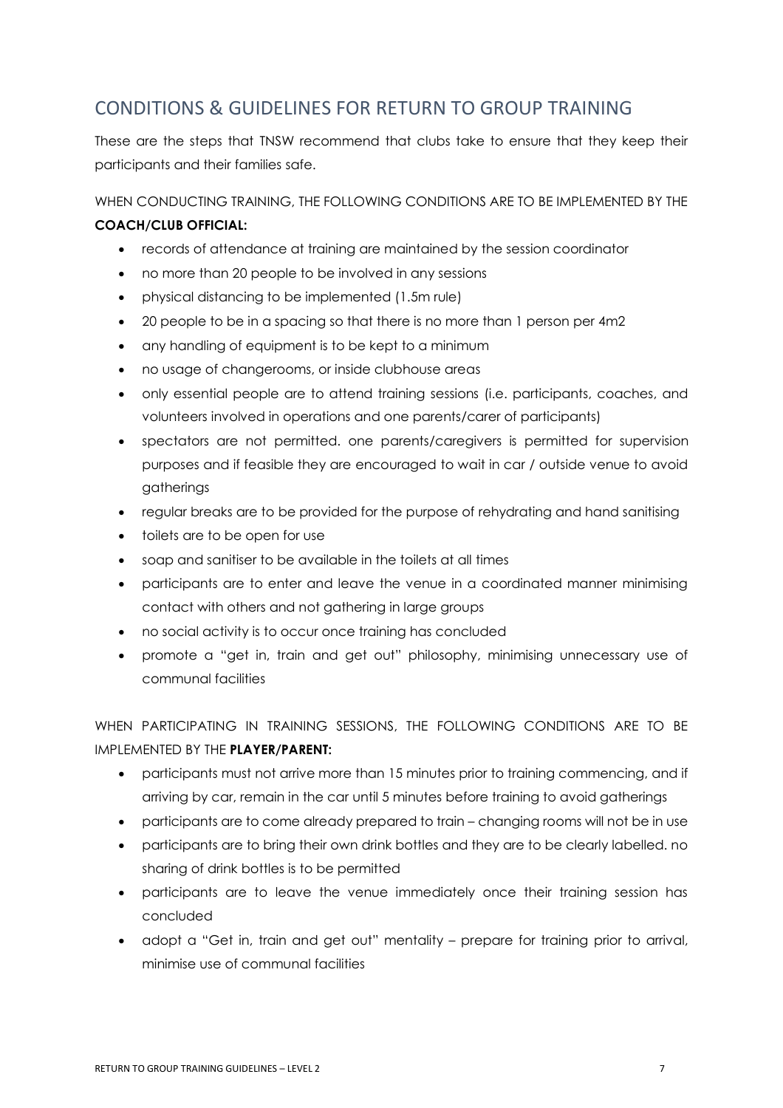### <span id="page-6-0"></span>CONDITIONS & GUIDELINES FOR RETURN TO GROUP TRAINING

These are the steps that TNSW recommend that clubs take to ensure that they keep their participants and their families safe.

WHEN CONDUCTING TRAINING, THE FOLLOWING CONDITIONS ARE TO BE IMPLEMENTED BY THE **COACH/CLUB OFFICIAL:** 

- records of attendance at training are maintained by the session coordinator
- no more than 20 people to be involved in any sessions
- physical distancing to be implemented (1.5m rule)
- 20 people to be in a spacing so that there is no more than 1 person per 4m2
- any handling of equipment is to be kept to a minimum
- no usage of changerooms, or inside clubhouse areas
- only essential people are to attend training sessions (i.e. participants, coaches, and volunteers involved in operations and one parents/carer of participants)
- spectators are not permitted. one parents/caregivers is permitted for supervision purposes and if feasible they are encouraged to wait in car / outside venue to avoid gatherings
- regular breaks are to be provided for the purpose of rehydrating and hand sanitising
- toilets are to be open for use
- soap and sanitiser to be available in the toilets at all times
- participants are to enter and leave the venue in a coordinated manner minimising contact with others and not gathering in large groups
- no social activity is to occur once training has concluded
- promote a "get in, train and get out" philosophy, minimising unnecessary use of communal facilities

WHEN PARTICIPATING IN TRAINING SESSIONS, THE FOLLOWING CONDITIONS ARE TO BE IMPLEMENTED BY THE **PLAYER/PARENT:**

- participants must not arrive more than 15 minutes prior to training commencing, and if arriving by car, remain in the car until 5 minutes before training to avoid gatherings
- participants are to come already prepared to train changing rooms will not be in use
- participants are to bring their own drink bottles and they are to be clearly labelled. no sharing of drink bottles is to be permitted
- participants are to leave the venue immediately once their training session has concluded
- adopt a "Get in, train and get out" mentality prepare for training prior to arrival, minimise use of communal facilities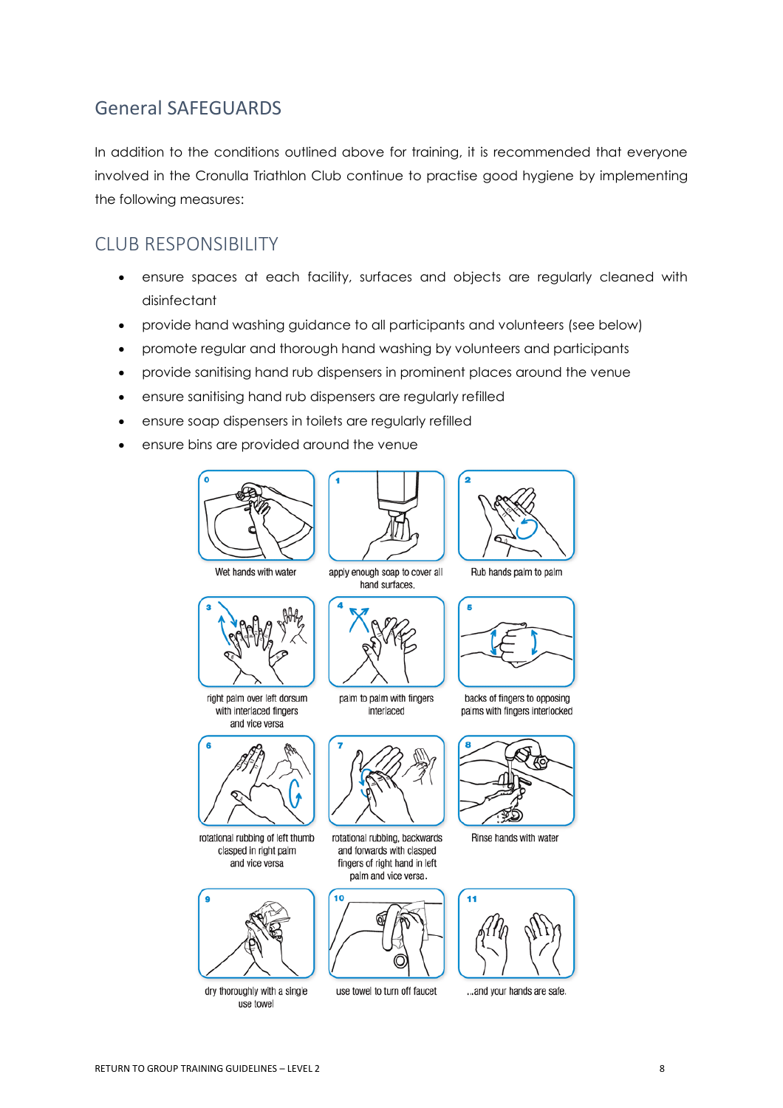### <span id="page-7-0"></span>General SAFEGUARDS

In addition to the conditions outlined above for training, it is recommended that everyone involved in the Cronulla Triathlon Club continue to practise good hygiene by implementing the following measures:

### <span id="page-7-1"></span>CLUB RESPONSIBILITY

- ensure spaces at each facility, surfaces and objects are regularly cleaned with disinfectant
- provide hand washing guidance to all participants and volunteers (see below)
- promote regular and thorough hand washing by volunteers and participants
- provide sanitising hand rub dispensers in prominent places around the venue
- ensure sanitising hand rub dispensers are regularly refilled
- ensure soap dispensers in toilets are regularly refilled
- ensure bins are provided around the venue





hand surfaces.



Rub hands palm to palm

Wet hands with water



right palm over left dorsum with interlaced fingers and vice versa



rotational rubbing of left thumb clasped in right palm and vice versa



dry thoroughly with a single use towel





backs of fingers to opposing palms with fingers interlocked



rotational rubbing, backwards and forwards with clasped fingers of right hand in left palm and vice versa.



use towel to turn off faucet



Rinse hands with water



... and your hands are safe.